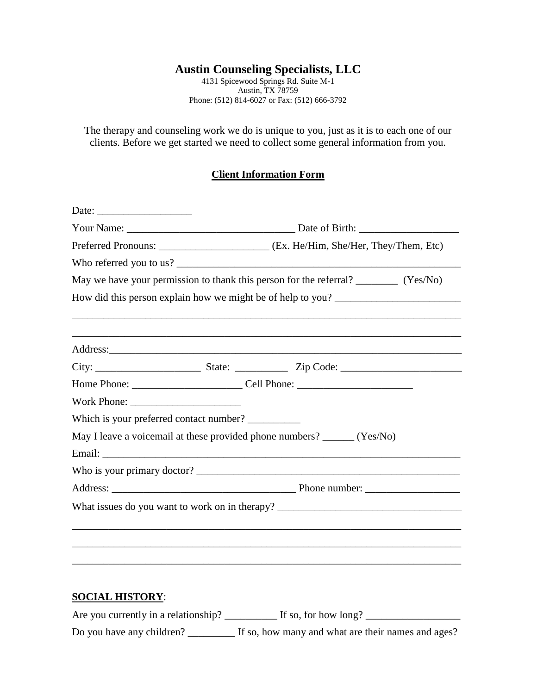# **Austin Counseling Specialists, LLC**

4131 Spicewood Springs Rd. Suite M-1 Austin, TX 78759 Phone: (512) 814-6027 or Fax: (512) 666-3792

The therapy and counseling work we do is unique to you, just as it is to each one of our clients. Before we get started we need to collect some general information from you.

### **Client Information Form**

| Preferred Pronouns: _____________________________ (Ex. He/Him, She/Her, They/Them, Etc) |  |                                                                                        |  |
|-----------------------------------------------------------------------------------------|--|----------------------------------------------------------------------------------------|--|
|                                                                                         |  |                                                                                        |  |
|                                                                                         |  | May we have your permission to thank this person for the referral? __________ (Yes/No) |  |
|                                                                                         |  | How did this person explain how we might be of help to you?                            |  |
|                                                                                         |  |                                                                                        |  |
|                                                                                         |  |                                                                                        |  |
|                                                                                         |  |                                                                                        |  |
|                                                                                         |  |                                                                                        |  |
|                                                                                         |  |                                                                                        |  |
| Which is your preferred contact number?                                                 |  |                                                                                        |  |
| May I leave a voicemail at these provided phone numbers? ______ (Yes/No)                |  |                                                                                        |  |
|                                                                                         |  |                                                                                        |  |
|                                                                                         |  |                                                                                        |  |
|                                                                                         |  |                                                                                        |  |
|                                                                                         |  |                                                                                        |  |
|                                                                                         |  |                                                                                        |  |
|                                                                                         |  |                                                                                        |  |
|                                                                                         |  |                                                                                        |  |
|                                                                                         |  |                                                                                        |  |

# **SOCIAL HISTORY**:

| Are you currently in a relationship? | If so, for how long?                               |
|--------------------------------------|----------------------------------------------------|
| Do you have any children?            | If so, how many and what are their names and ages? |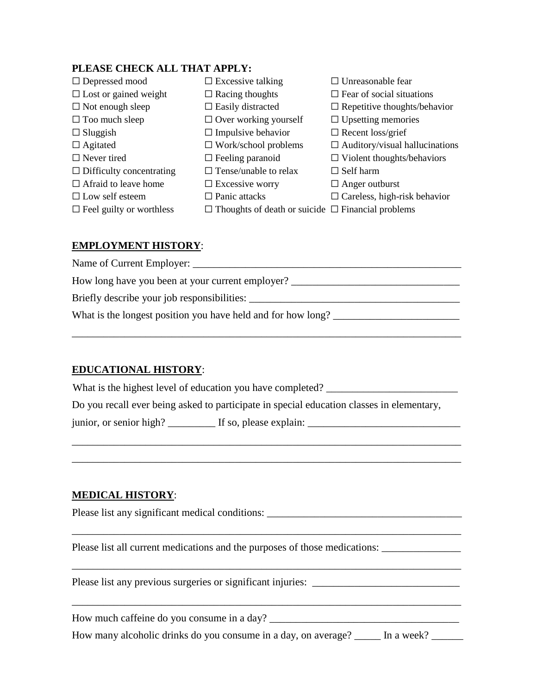#### **PLEASE CHECK ALL THAT APPLY:**

| $\Box$ Depressed mood           | $\Box$ Excessive talking                                      | $\Box$ Unreasonable fear              |
|---------------------------------|---------------------------------------------------------------|---------------------------------------|
| $\Box$ Lost or gained weight    | $\Box$ Racing thoughts                                        | $\Box$ Fear of social situations      |
| $\Box$ Not enough sleep         | $\Box$ Easily distracted                                      | $\Box$ Repetitive thoughts/behavior   |
| $\Box$ Too much sleep           | $\Box$ Over working yourself                                  | $\Box$ Upsetting memories             |
| $\Box$ Sluggish                 | $\Box$ Impulsive behavior                                     | $\Box$ Recent loss/grief              |
| $\Box$ Agitated                 | $\Box$ Work/school problems                                   | $\Box$ Auditory/visual hallucinations |
| $\Box$ Never tired              | $\Box$ Feeling paranoid                                       | $\Box$ Violent thoughts/behaviors     |
| $\Box$ Difficulty concentrating | $\Box$ Tense/unable to relax                                  | $\Box$ Self harm                      |
| $\Box$ Afraid to leave home     | $\Box$ Excessive worry                                        | $\Box$ Anger outburst                 |
| $\Box$ Low self esteem          | $\Box$ Panic attacks                                          | $\Box$ Careless, high-risk behavior   |
| $\Box$ Feel guilty or worthless | $\Box$ Thoughts of death or suicide $\Box$ Financial problems |                                       |

#### **EMPLOYMENT HISTORY**:

Name of Current Employer: \_\_\_\_\_\_\_\_\_\_\_\_\_\_\_\_\_\_\_\_\_\_\_\_\_\_\_\_\_\_\_\_\_\_\_\_\_\_\_\_\_\_\_\_\_\_\_\_\_\_\_ How long have you been at your current employer? Briefly describe your job responsibilities: \_\_\_\_\_\_\_\_\_\_\_\_\_\_\_\_\_\_\_\_\_\_\_\_\_\_\_\_\_\_\_\_\_\_\_\_\_\_\_\_ What is the longest position you have held and for how long? \_\_\_\_\_\_\_\_\_\_\_\_\_\_\_\_\_\_\_\_\_\_\_\_

\_\_\_\_\_\_\_\_\_\_\_\_\_\_\_\_\_\_\_\_\_\_\_\_\_\_\_\_\_\_\_\_\_\_\_\_\_\_\_\_\_\_\_\_\_\_\_\_\_\_\_\_\_\_\_\_\_\_\_\_\_\_\_\_\_\_\_\_\_\_\_\_\_\_

#### **EDUCATIONAL HISTORY**:

What is the highest level of education you have completed? \_\_\_\_\_\_\_\_\_\_\_\_\_\_\_\_\_\_\_\_\_\_

Do you recall ever being asked to participate in special education classes in elementary,

\_\_\_\_\_\_\_\_\_\_\_\_\_\_\_\_\_\_\_\_\_\_\_\_\_\_\_\_\_\_\_\_\_\_\_\_\_\_\_\_\_\_\_\_\_\_\_\_\_\_\_\_\_\_\_\_\_\_\_\_\_\_\_\_\_\_\_\_\_\_\_\_\_\_ \_\_\_\_\_\_\_\_\_\_\_\_\_\_\_\_\_\_\_\_\_\_\_\_\_\_\_\_\_\_\_\_\_\_\_\_\_\_\_\_\_\_\_\_\_\_\_\_\_\_\_\_\_\_\_\_\_\_\_\_\_\_\_\_\_\_\_\_\_\_\_\_\_\_

\_\_\_\_\_\_\_\_\_\_\_\_\_\_\_\_\_\_\_\_\_\_\_\_\_\_\_\_\_\_\_\_\_\_\_\_\_\_\_\_\_\_\_\_\_\_\_\_\_\_\_\_\_\_\_\_\_\_\_\_\_\_\_\_\_\_\_\_\_\_\_\_\_\_

\_\_\_\_\_\_\_\_\_\_\_\_\_\_\_\_\_\_\_\_\_\_\_\_\_\_\_\_\_\_\_\_\_\_\_\_\_\_\_\_\_\_\_\_\_\_\_\_\_\_\_\_\_\_\_\_\_\_\_\_\_\_\_\_\_\_\_\_\_\_\_\_\_\_

\_\_\_\_\_\_\_\_\_\_\_\_\_\_\_\_\_\_\_\_\_\_\_\_\_\_\_\_\_\_\_\_\_\_\_\_\_\_\_\_\_\_\_\_\_\_\_\_\_\_\_\_\_\_\_\_\_\_\_\_\_\_\_\_\_\_\_\_\_\_\_\_\_\_

junior, or senior high? \_\_\_\_\_\_\_\_\_ If so, please explain: \_\_\_\_\_\_\_\_\_\_\_\_\_\_\_\_\_\_\_\_\_\_\_\_

#### **MEDICAL HISTORY**:

Please list any significant medical conditions: \_\_\_\_\_\_\_\_\_\_\_\_\_\_\_\_\_\_\_\_\_\_\_\_\_\_\_\_\_\_\_\_\_\_\_\_\_

Please list all current medications and the purposes of those medications: \_\_\_\_\_\_\_\_\_\_\_\_\_\_\_\_\_\_\_\_\_\_\_\_\_\_\_\_\_\_\_\_\_\_\_

Please list any previous surgeries or significant injuries: \_\_\_\_\_\_\_\_\_\_\_\_\_\_\_\_\_\_\_\_\_\_\_\_\_\_\_\_

How much caffeine do you consume in a day? \_\_\_\_\_\_\_\_\_\_\_\_\_\_\_\_\_\_\_\_\_\_\_\_\_\_\_\_\_\_\_\_\_\_\_\_

How many alcoholic drinks do you consume in a day, on average? \_\_\_\_\_ In a week? \_\_\_\_\_\_